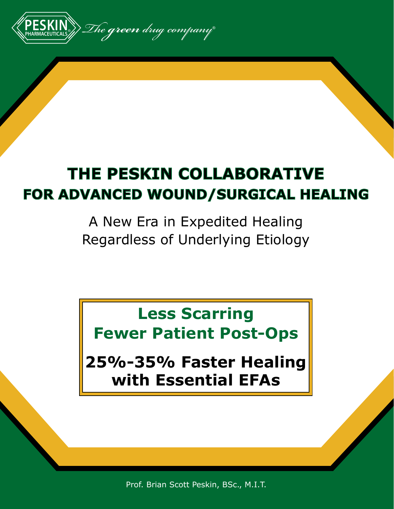

# **THE PESKIN COLLABORATIVE FOR ADVANCED WOUND/SURGICAL HEALING**

A New Era in Expedited Healing Regardless of Underlying Etiology

**Less Scarring Fewer Patient Post-Ops**

**25%-35% Faster Healing with Essential EFAs**

Prof. Brian Scott Peskin, BSc., M.I.T.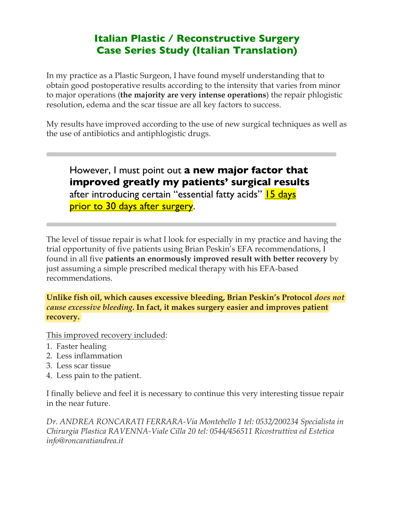### **Italian Plastic / Reconstructive Surgery Case Series Study (Italian Translation)**

In my practice as a Plastic Surgeon, I have found myself understanding that to obtain good postoperative results according to the intensity that varies from minor to major operations (**the majority are very intense operations**) the repair phlogistic resolution, edema and the scar tissue are all key factors to success.

My results have improved according to the use of new surgical techniques as well as the use of antibiotics and antiphlogistic drugs.

However, I must point out **a new major factor that improved greatly my patients' surgical results** after introducing certain "essential fatty acids" **15 days** prior to 30 days after surgery.

The level of tissue repair is what I look for especially in my practice and having the trial opportunity of five patients using Brian Peskin's EFA recommendations, I found in all five **patients an enormously improved result with better recovery** by just assuming a simple prescribed medical therapy with his EFA-based recommendations.

**Unlike fish oil, which causes excessive bleeding, Brian Peskin's Protocol** *does not cause excessive bleeding***. In fact, it makes surgery easier and improves patient recovery.**

This improved recovery included:

- 1. Faster healing
- 2. Less inflammation
- 3. Less scar tissue
- 4. Less pain to the patient.

I finally believe and feel it is necessary to continue this very interesting tissue repair in the near future.

*Dr. ANDREA RONCARATI FERRARA-Via Montebello 1 tel: 0532/200234 Specialista in Chirurgia Plastica RAVENNA-Viale Cilla 20 tel: 0544/456511 Ricostruttiva ed Estetica info@roncaratiandrea.it*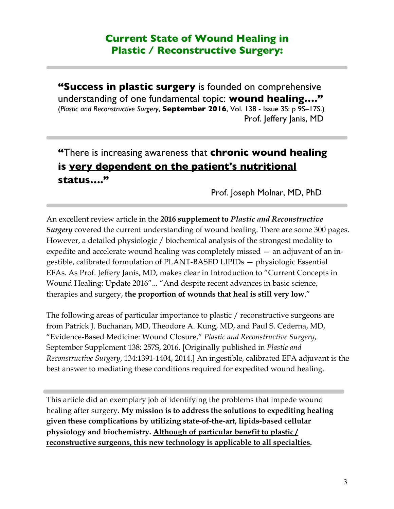#### **Current State of Wound Healing in Plastic / Reconstructive Surgery:**

**"Success in plastic surgery** is founded on comprehensive understanding of one fundamental topic: **wound healing…."** (*Plastic and Reconstructive Surgery*, **September 2016**, Vol. 138 - Issue 3S: p 9S–17S.) Prof. Jeffery Janis, MD

# **"**There is increasing awareness that **chronic wound healing is very dependent on the patient's nutritional status…."**

Prof. Joseph Molnar, MD, PhD

An excellent review article in the **2016 supplement to** *Plastic and Reconstructive Surgery* covered the current understanding of wound healing. There are some 300 pages. However, a detailed physiologic / biochemical analysis of the strongest modality to expedite and accelerate wound healing was completely missed — an adjuvant of an ingestible, calibrated formulation of PLANT-BASED LIPIDs — physiologic Essential EFAs. As Prof. Jeffery Janis, MD, makes clear in Introduction to "Current Concepts in Wound Healing: Update 2016"... "And despite recent advances in basic science, therapies and surgery, **the proportion of wounds that heal is still very low**."

The following areas of particular importance to plastic / reconstructive surgeons are from Patrick J. Buchanan, MD, Theodore A. Kung, MD, and Paul S. Cederna, MD, "Evidence-Based Medicine: Wound Closure," *Plastic and Reconstructive Surgery*, September Supplement 138: 257S, 2016. [Originally published in *Plastic and Reconstructive Surgery*, 134:1391-1404, 2014.] An ingestible, calibrated EFA adjuvant is the best answer to mediating these conditions required for expedited wound healing.

This article did an exemplary job of identifying the problems that impede wound healing after surgery. **My mission is to address the solutions to expediting healing given these complications by utilizing state-of-the-art, lipids-based cellular physiology and biochemistry. Although of particular benefit to plastic / reconstructive surgeons, this new technology is applicable to all specialties.**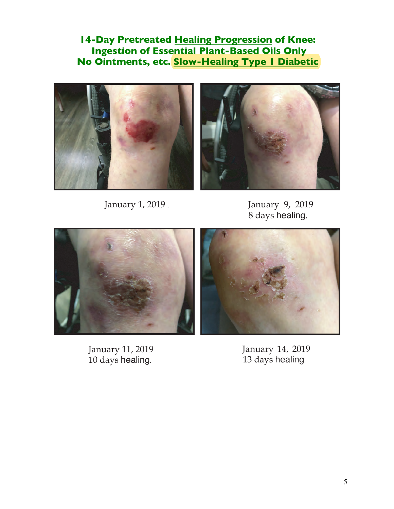**14-Day Pretreated Healing Progression of Knee: Ingestion of Essential Plant-Based Oils Only No Ointments, etc. Slow-Healing Type 1 Diabetic**





January 1, 2019 .

January 9, 2019 8 days healing.



January 11, 2019 10 days healing.

January 14, 2019 13 days healing.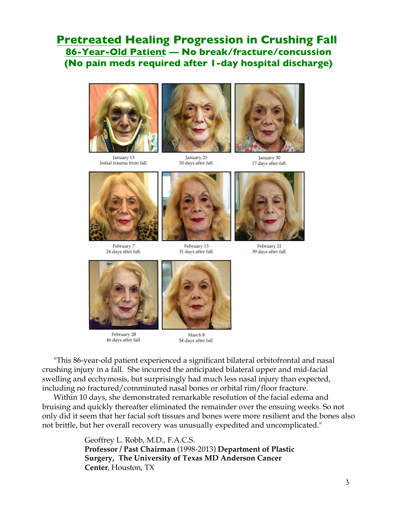#### **Pretreated Healing Progression in Crushing Fall 86-Year-Old Patient — No break/fracture/concussion (No pain meds required after 1-day hospital discharge)**



January 13 Initial trauma from fall.



January 23 10 days after fall.



January 30 17 days after fall.



February 7 24 days after fall.



February 13 31 days after fall.



February 21 39 days after fall.



February 28 46 days after fall.



March 8 54 days after fall.

"This 86-year-old patient experienced a significant bilateral orbitofrontal and nasal crushing injury in a fall. She incurred the anticipated bilateral upper and mid-facial swelling and ecchymosis, but surprisingly had much less nasal injury than expected, including no fractured/comminuted nasal bones or orbital rim/floor fracture.

Within 10 days, she demonstrated remarkable resolution of the facial edema and bruising and quickly thereafter eliminated the remainder over the ensuing weeks. So not only did it seem that her facial soft tissues and bones were more resilient and the bones also not brittle, but her overall recovery was unusually expedited and uncomplicated."

> Geoffrey L. Robb, M.D., F.A.C.S. **Professor / Past Chairman** (1998-2013) **Department of Plastic Surgery, The University of Texas MD Anderson Cancer Center**, Houston, TX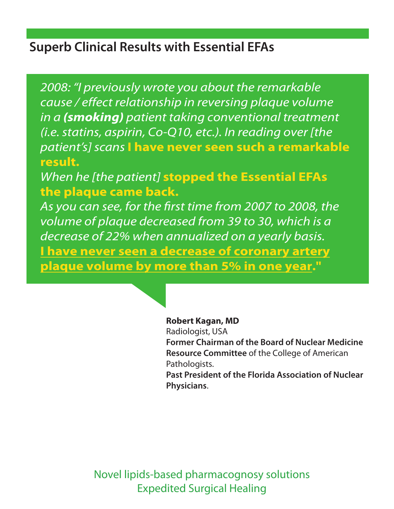# **Superb Clinical Results with Essential EFAs**

*2008: "I previously wrote you about the remarkable cause / effect relationship in reversing plaque volume in a* **(smoking)** *patient taking conventional treatment (i.e.statins, aspirin, Co-Q10, etc.). In reading over [the patient's] scans* **I have never seen such a remarkable result.**

*When he [the patient]* **stopped the Essential EFAs the plaque came back.**

As you can see, for the first time from 2007 to 2008, the *volume of plaque decreased from 39 to 30, which is a decrease of 22% when annualized on a yearly basis.* **I have never seen a decrease of coronary artery plaque volume by more than 5% in one year."**



#### **Robert Kagan, MD**

Radiologist, USA **Former Chairman of the Board of Nuclear Medicine Resource Committee** of the College of American Pathologists.

**Past President of the Florida Association of Nuclear Physicians**.

Novel lipids-based pharmacognosy solutions Expedited Surgical Healing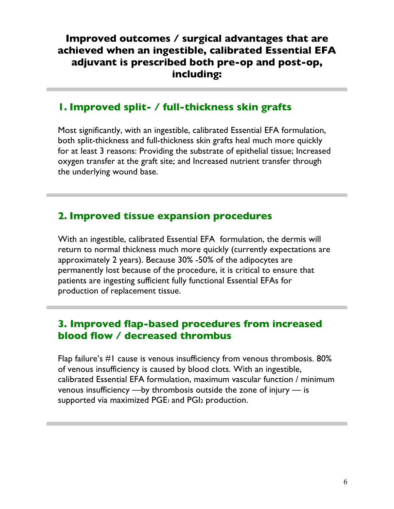#### **Improved outcomes / surgical advantages that are achieved when an ingestible, calibrated Essential EFA adjuvant is prescribed both pre-op and post-op, including:**

#### **1. Improved split- / full-thickness skin grafts**

Most significantly, with an ingestible, calibrated Essential EFA formulation, both split-thickness and full-thickness skin grafts heal much more quickly for at least 3 reasons: Providing the substrate of epithelial tissue; Increased oxygen transfer at the graft site; and Increased nutrient transfer through the underlying wound base.

#### **2. Improved tissue expansion procedures**

With an ingestible, calibrated Essential EFA formulation, the dermis will return to normal thickness much more quickly (currently expectations are approximately 2 years). Because 30% -50% of the adipocytes are permanently lost because of the procedure, it is critical to ensure that patients are ingesting sufficient fully functional Essential EFAs for production of replacement tissue.

#### **3. Improved flap-based procedures from increased blood flow / decreased thrombus**

Flap failure's #1 cause is venous insufficiency from venous thrombosis. 80% of venous insufficiency is caused by blood clots. With an ingestible, calibrated Essential EFA formulation, maximum vascular function / minimum venous insufficiency —by thrombosis outside the zone of injury — is supported via maximized PGE<sub>1</sub> and PGI<sub>2</sub> production.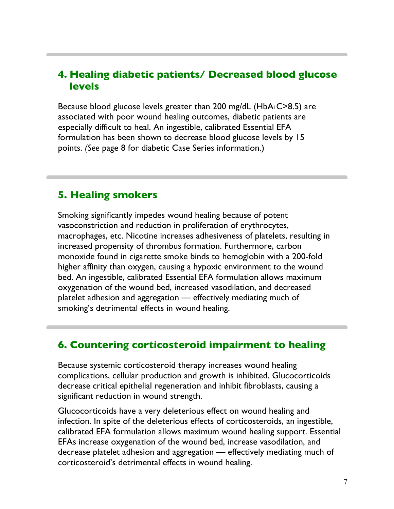#### **4. Healing diabetic patients/ Decreased blood glucose levels**

Because blood glucose levels greater than 200 mg/dL (HbA<sub>1</sub>C>8.5) are associated with poor wound healing outcomes, diabetic patients are especially difficult to heal. An ingestible, calibrated Essential EFA formulation has been shown to decrease blood glucose levels by 15 points. *(See* page 8 for diabetic Case Series information.)

#### **5. Healing smokers**

Smoking significantly impedes wound healing because of potent vasoconstriction and reduction in proliferation of erythrocytes, macrophages, etc. Nicotine increases adhesiveness of platelets, resulting in increased propensity of thrombus formation. Furthermore, carbon monoxide found in cigarette smoke binds to hemoglobin with a 200-fold higher affinity than oxygen, causing a hypoxic environment to the wound bed. An ingestible, calibrated Essential EFA formulation allows maximum oxygenation of the wound bed, increased vasodilation, and decreased platelet adhesion and aggregation — effectively mediating much of smoking's detrimental effects in wound healing.

#### **6. Countering corticosteroid impairment to healing**

Because systemic corticosteroid therapy increases wound healing complications, cellular production and growth is inhibited. Glucocorticoids decrease critical epithelial regeneration and inhibit fibroblasts, causing a significant reduction in wound strength.

Glucocorticoids have a very deleterious effect on wound healing and infection. In spite of the deleterious effects of corticosteroids, an ingestible, calibrated EFA formulation allows maximum wound healing support. Essential EFAs increase oxygenation of the wound bed, increase vasodilation, and decrease platelet adhesion and aggregation — effectively mediating much of corticosteroid's detrimental effects in wound healing.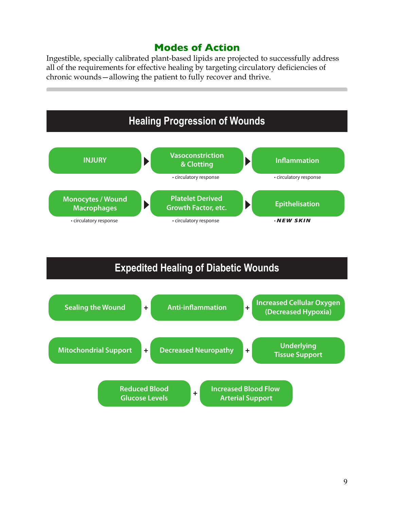#### **Modes of Action**

Ingestible, specially calibrated plant-based lipids are projected to successfully address all of the requirements for effective healing by targeting circulatory deficiencies of chronic wounds—allowing the patient to fully recover and thrive.



# **Expedited Healing of Diabetic Wounds**